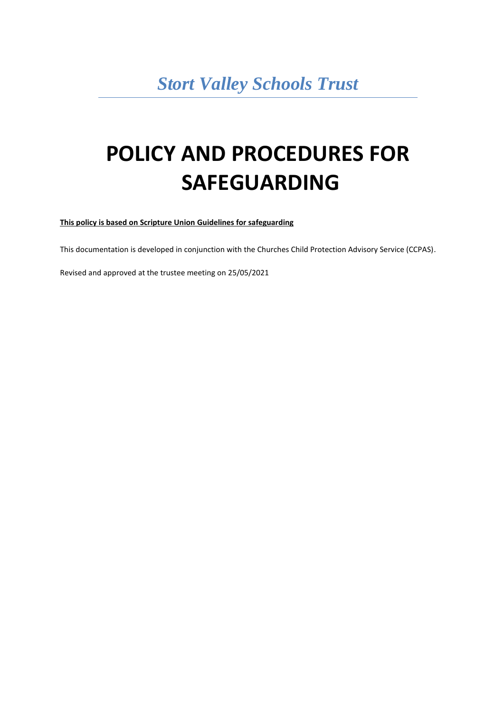# *Stort Valley Schools Trust*

# **POLICY AND PROCEDURES FOR SAFEGUARDING**

**This policy is based on Scripture Union Guidelines for safeguarding**

This documentation is developed in conjunction with the Churches Child Protection Advisory Service (CCPAS).

Revised and approved at the trustee meeting on 25/05/2021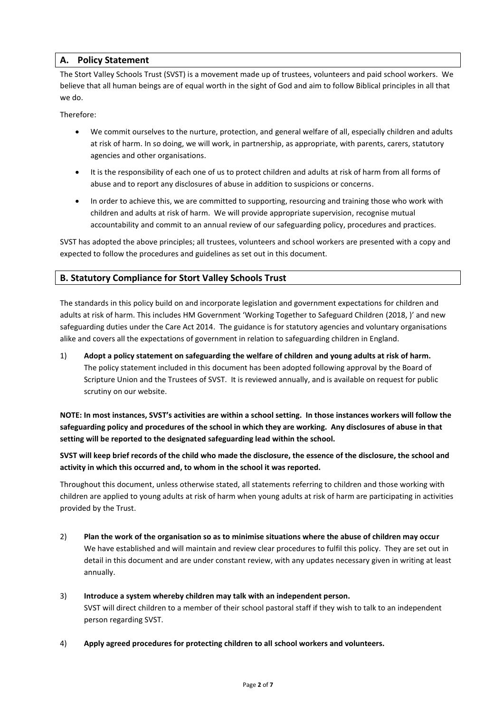# **A. Policy Statement**

The Stort Valley Schools Trust (SVST) is a movement made up of trustees, volunteers and paid school workers. We believe that all human beings are of equal worth in the sight of God and aim to follow Biblical principles in all that we do.

Therefore:

- We commit ourselves to the nurture, protection, and general welfare of all, especially children and adults at risk of harm. In so doing, we will work, in partnership, as appropriate, with parents, carers, statutory agencies and other organisations.
- It is the responsibility of each one of us to protect children and adults at risk of harm from all forms of abuse and to report any disclosures of abuse in addition to suspicions or concerns.
- In order to achieve this, we are committed to supporting, resourcing and training those who work with children and adults at risk of harm. We will provide appropriate supervision, recognise mutual accountability and commit to an annual review of our safeguarding policy, procedures and practices.

SVST has adopted the above principles; all trustees, volunteers and school workers are presented with a copy and expected to follow the procedures and guidelines as set out in this document.

# **B. Statutory Compliance for Stort Valley Schools Trust**

The standards in this policy build on and incorporate legislation and government expectations for children and adults at risk of harm. This includes HM Government 'Working Together to Safeguard Children (2018, )' and new safeguarding duties under the Care Act 2014. The guidance is for statutory agencies and voluntary organisations alike and covers all the expectations of government in relation to safeguarding children in England.

1) **Adopt a policy statement on safeguarding the welfare of children and young adults at risk of harm.** The policy statement included in this document has been adopted following approval by the Board of Scripture Union and the Trustees of SVST. It is reviewed annually, and is available on request for public scrutiny on our website.

**NOTE: In most instances, SVST's activities are within a school setting. In those instances workers will follow the safeguarding policy and procedures of the school in which they are working. Any disclosures of abuse in that setting will be reported to the designated safeguarding lead within the school.** 

**SVST will keep brief records of the child who made the disclosure, the essence of the disclosure, the school and activity in which this occurred and, to whom in the school it was reported.**

Throughout this document, unless otherwise stated, all statements referring to children and those working with children are applied to young adults at risk of harm when young adults at risk of harm are participating in activities provided by the Trust.

- 2) **Plan the work of the organisation so as to minimise situations where the abuse of children may occur** We have established and will maintain and review clear procedures to fulfil this policy. They are set out in detail in this document and are under constant review, with any updates necessary given in writing at least annually.
- 3) **Introduce a system whereby children may talk with an independent person.** SVST will direct children to a member of their school pastoral staff if they wish to talk to an independent person regarding SVST.
- 4) **Apply agreed procedures for protecting children to all school workers and volunteers.**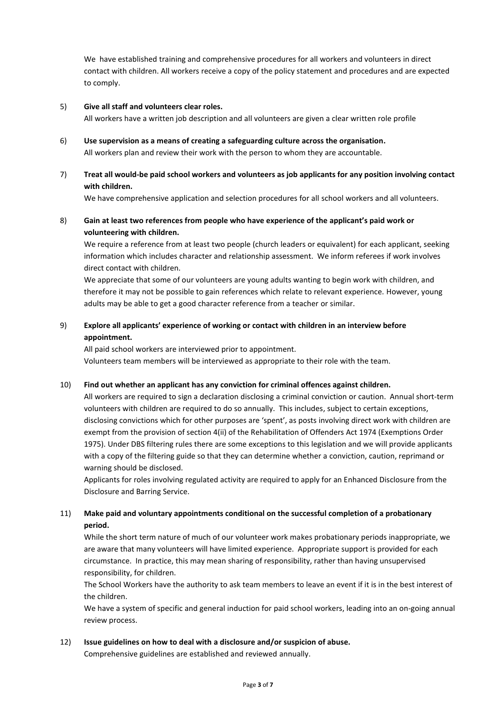We have established training and comprehensive procedures for all workers and volunteers in direct contact with children. All workers receive a copy of the policy statement and procedures and are expected to comply.

## 5) **Give all staff and volunteers clear roles.**

All workers have a written job description and all volunteers are given a clear written role profile

- 6) **Use supervision as a means of creating a safeguarding culture across the organisation.** All workers plan and review their work with the person to whom they are accountable.
- 7) **Treat all would-be paid school workers and volunteers as job applicants for any position involving contact with children.**

We have comprehensive application and selection procedures for all school workers and all volunteers.

# 8) **Gain at least two references from people who have experience of the applicant's paid work or volunteering with children.**

We require a reference from at least two people (church leaders or equivalent) for each applicant, seeking information which includes character and relationship assessment. We inform referees if work involves direct contact with children.

We appreciate that some of our volunteers are young adults wanting to begin work with children, and therefore it may not be possible to gain references which relate to relevant experience. However, young adults may be able to get a good character reference from a teacher or similar.

# 9) **Explore all applicants' experience of working or contact with children in an interview before appointment.**

All paid school workers are interviewed prior to appointment. Volunteers team members will be interviewed as appropriate to their role with the team.

#### 10) **Find out whether an applicant has any conviction for criminal offences against children.**

All workers are required to sign a declaration disclosing a criminal conviction or caution. Annual short-term volunteers with children are required to do so annually. This includes, subject to certain exceptions, disclosing convictions which for other purposes are 'spent', as posts involving direct work with children are exempt from the provision of section 4(ii) of the Rehabilitation of Offenders Act 1974 (Exemptions Order 1975). Under DBS filtering rules there are some exceptions to this legislation and we will provide applicants with a copy of the filtering guide so that they can determine whether a conviction, caution, reprimand or warning should be disclosed.

Applicants for roles involving regulated activity are required to apply for an Enhanced Disclosure from the Disclosure and Barring Service.

# 11) **Make paid and voluntary appointments conditional on the successful completion of a probationary period.**

While the short term nature of much of our volunteer work makes probationary periods inappropriate, we are aware that many volunteers will have limited experience. Appropriate support is provided for each circumstance. In practice, this may mean sharing of responsibility, rather than having unsupervised responsibility, for children.

The School Workers have the authority to ask team members to leave an event if it is in the best interest of the children.

We have a system of specific and general induction for paid school workers, leading into an on-going annual review process.

#### 12) **Issue guidelines on how to deal with a disclosure and/or suspicion of abuse.**

Comprehensive guidelines are established and reviewed annually.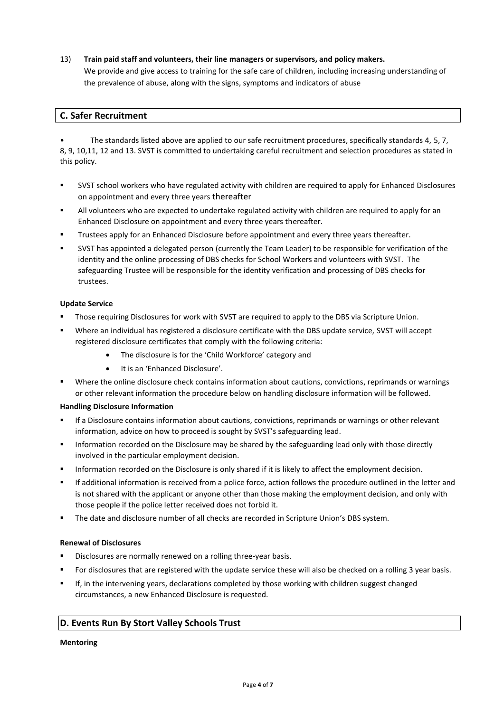# 13) **Train paid staff and volunteers, their line managers or supervisors, and policy makers.**

We provide and give access to training for the safe care of children, including increasing understanding of the prevalence of abuse, along with the signs, symptoms and indicators of abuse

# **C. Safer Recruitment**

• The standards listed above are applied to our safe recruitment procedures, specifically standards 4, 5, 7, 8, 9, 10,11, 12 and 13. SVST is committed to undertaking careful recruitment and selection procedures as stated in this policy.

- SVST school workers who have regulated activity with children are required to apply for Enhanced Disclosures on appointment and every three years thereafter
- All volunteers who are expected to undertake regulated activity with children are required to apply for an Enhanced Disclosure on appointment and every three years thereafter.
- **■** Trustees apply for an Enhanced Disclosure before appointment and every three years thereafter.
- SVST has appointed a delegated person (currently the Team Leader) to be responsible for verification of the identity and the online processing of DBS checks for School Workers and volunteers with SVST. The safeguarding Trustee will be responsible for the identity verification and processing of DBS checks for trustees.

# **Update Service**

- Those requiring Disclosures for work with SVST are required to apply to the DBS via Scripture Union.
- Where an individual has registered a disclosure certificate with the DBS update service, SVST will accept registered disclosure certificates that comply with the following criteria:
	- The disclosure is for the 'Child Workforce' category and
	- It is an 'Enhanced Disclosure'.
- Where the online disclosure check contains information about cautions, convictions, reprimands or warnings or other relevant information the procedure below on handling disclosure information will be followed.

# **Handling Disclosure Information**

- If a Disclosure contains information about cautions, convictions, reprimands or warnings or other relevant information, advice on how to proceed is sought by SVST's safeguarding lead.
- Information recorded on the Disclosure may be shared by the safeguarding lead only with those directly involved in the particular employment decision.
- Information recorded on the Disclosure is only shared if it is likely to affect the employment decision.
- If additional information is received from a police force, action follows the procedure outlined in the letter and is not shared with the applicant or anyone other than those making the employment decision, and only with those people if the police letter received does not forbid it.
- **•** The date and disclosure number of all checks are recorded in Scripture Union's DBS system.

# **Renewal of Disclosures**

- Disclosures are normally renewed on a rolling three-year basis.
- For disclosures that are registered with the update service these will also be checked on a rolling 3 year basis.
- If, in the intervening years, declarations completed by those working with children suggest changed circumstances, a new Enhanced Disclosure is requested.

# **D. Events Run By Stort Valley Schools Trust**

#### **Mentoring**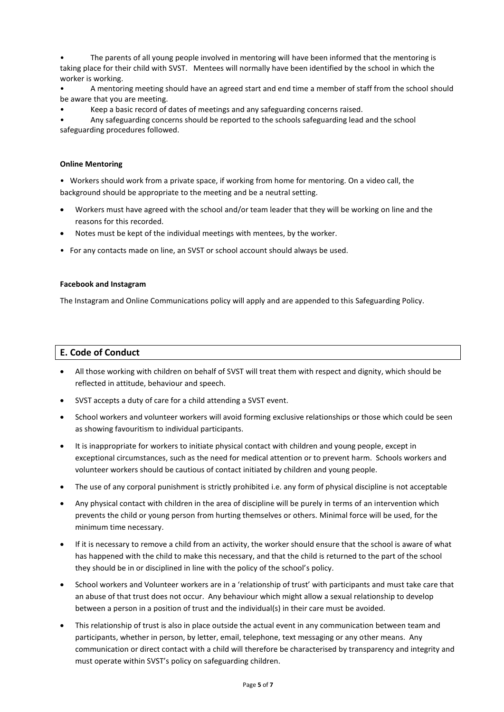The parents of all young people involved in mentoring will have been informed that the mentoring is taking place for their child with SVST. Mentees will normally have been identified by the school in which the worker is working.

• A mentoring meeting should have an agreed start and end time a member of staff from the school should be aware that you are meeting.

• Keep a basic record of dates of meetings and any safeguarding concerns raised.

• Any safeguarding concerns should be reported to the schools safeguarding lead and the school safeguarding procedures followed.

# **Online Mentoring**

• Workers should work from a private space, if working from home for mentoring. On a video call, the background should be appropriate to the meeting and be a neutral setting.

- Workers must have agreed with the school and/or team leader that they will be working on line and the reasons for this recorded.
- Notes must be kept of the individual meetings with mentees, by the worker.
- For any contacts made on line, an SVST or school account should always be used.

#### **Facebook and Instagram**

The Instagram and Online Communications policy will apply and are appended to this Safeguarding Policy.

# **E. Code of Conduct**

- All those working with children on behalf of SVST will treat them with respect and dignity, which should be reflected in attitude, behaviour and speech.
- SVST accepts a duty of care for a child attending a SVST event.
- School workers and volunteer workers will avoid forming exclusive relationships or those which could be seen as showing favouritism to individual participants.
- It is inappropriate for workers to initiate physical contact with children and young people, except in exceptional circumstances, such as the need for medical attention or to prevent harm. Schools workers and volunteer workers should be cautious of contact initiated by children and young people.
- The use of any corporal punishment is strictly prohibited i.e. any form of physical discipline is not acceptable
- Any physical contact with children in the area of discipline will be purely in terms of an intervention which prevents the child or young person from hurting themselves or others. Minimal force will be used, for the minimum time necessary.
- If it is necessary to remove a child from an activity, the worker should ensure that the school is aware of what has happened with the child to make this necessary, and that the child is returned to the part of the school they should be in or disciplined in line with the policy of the school's policy.
- School workers and Volunteer workers are in a 'relationship of trust' with participants and must take care that an abuse of that trust does not occur. Any behaviour which might allow a sexual relationship to develop between a person in a position of trust and the individual(s) in their care must be avoided.
- This relationship of trust is also in place outside the actual event in any communication between team and participants, whether in person, by letter, email, telephone, text messaging or any other means. Any communication or direct contact with a child will therefore be characterised by transparency and integrity and must operate within SVST's policy on safeguarding children.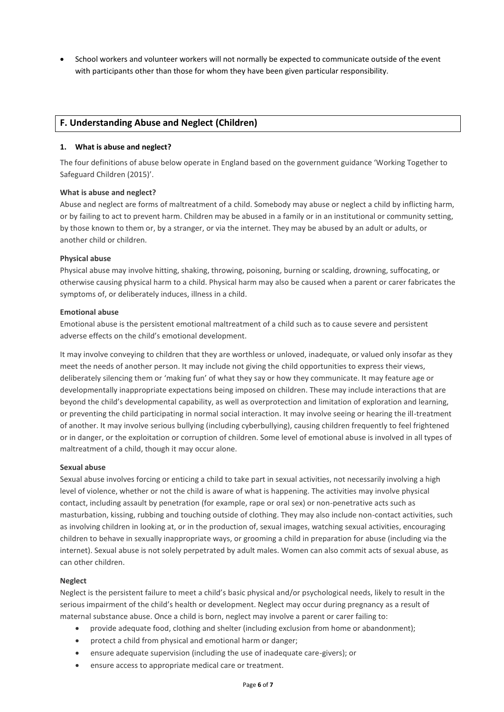• School workers and volunteer workers will not normally be expected to communicate outside of the event with participants other than those for whom they have been given particular responsibility.

# **F. Understanding Abuse and Neglect (Children)**

# **1. What is abuse and neglect?**

The four definitions of abuse below operate in England based on the government guidance 'Working Together to Safeguard Children (2015)'.

#### **What is abuse and neglect?**

Abuse and neglect are forms of maltreatment of a child. Somebody may abuse or neglect a child by inflicting harm, or by failing to act to prevent harm. Children may be abused in a family or in an institutional or community setting, by those known to them or, by a stranger, or via the internet. They may be abused by an adult or adults, or another child or children.

#### **Physical abuse**

Physical abuse may involve hitting, shaking, throwing, poisoning, burning or scalding, drowning, suffocating, or otherwise causing physical harm to a child. Physical harm may also be caused when a parent or carer fabricates the symptoms of, or deliberately induces, illness in a child.

#### **Emotional abuse**

Emotional abuse is the persistent emotional maltreatment of a child such as to cause severe and persistent adverse effects on the child's emotional development.

It may involve conveying to children that they are worthless or unloved, inadequate, or valued only insofar as they meet the needs of another person. It may include not giving the child opportunities to express their views, deliberately silencing them or 'making fun' of what they say or how they communicate. It may feature age or developmentally inappropriate expectations being imposed on children. These may include interactions that are beyond the child's developmental capability, as well as overprotection and limitation of exploration and learning, or preventing the child participating in normal social interaction. It may involve seeing or hearing the ill-treatment of another. It may involve serious bullying (including cyberbullying), causing children frequently to feel frightened or in danger, or the exploitation or corruption of children. Some level of emotional abuse is involved in all types of maltreatment of a child, though it may occur alone.

#### **Sexual abuse**

Sexual abuse involves forcing or enticing a child to take part in sexual activities, not necessarily involving a high level of violence, whether or not the child is aware of what is happening. The activities may involve physical contact, including assault by penetration (for example, rape or oral sex) or non-penetrative acts such as masturbation, kissing, rubbing and touching outside of clothing. They may also include non-contact activities, such as involving children in looking at, or in the production of, sexual images, watching sexual activities, encouraging children to behave in sexually inappropriate ways, or grooming a child in preparation for abuse (including via the internet). Sexual abuse is not solely perpetrated by adult males. Women can also commit acts of sexual abuse, as can other children.

#### **Neglect**

Neglect is the persistent failure to meet a child's basic physical and/or psychological needs, likely to result in the serious impairment of the child's health or development. Neglect may occur during pregnancy as a result of maternal substance abuse. Once a child is born, neglect may involve a parent or carer failing to:

- provide adequate food, clothing and shelter (including exclusion from home or abandonment);
- protect a child from physical and emotional harm or danger;
- ensure adequate supervision (including the use of inadequate care-givers); or
- ensure access to appropriate medical care or treatment.